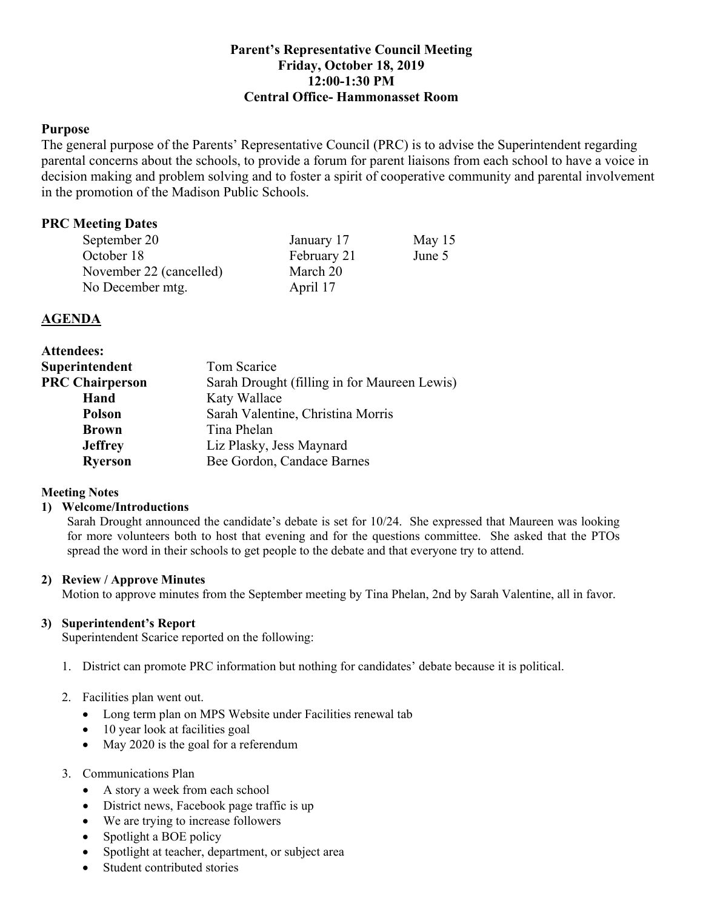# **Parent's Representative Council Meeting Friday, October 18, 2019 12:00-1:30 PM Central Office- Hammonasset Room**

## **Purpose**

 The general purpose of the Parents' Representative Council (PRC) is to advise the Superintendent regarding parental concerns about the schools, to provide a forum for parent liaisons from each school to have a voice in decision making and problem solving and to foster a spirit of cooperative community and parental involvement in the promotion of the Madison Public Schools.

# **PRC Meeting Dates**

| September 20            | January 17  | May $15$ |
|-------------------------|-------------|----------|
| October 18              | February 21 | June 5   |
| November 22 (cancelled) | March 20    |          |
| No December mtg.        | April 17    |          |

## **AGENDA**

| <b>Attendees:</b>      |                                              |
|------------------------|----------------------------------------------|
| Superintendent         | Tom Scarice                                  |
| <b>PRC Chairperson</b> | Sarah Drought (filling in for Maureen Lewis) |
| Hand                   | Katy Wallace                                 |
| <b>Polson</b>          | Sarah Valentine, Christina Morris            |
| <b>Brown</b>           | Tina Phelan                                  |
| <b>Jeffrey</b>         | Liz Plasky, Jess Maynard                     |
| <b>Ryerson</b>         | Bee Gordon, Candace Barnes                   |
| <b>Meeting Notes</b>   |                                              |

## **Meeting Notes**

### **1) Welcome/Introductions**

 Sarah Drought announced the candidate's debate is set for 10/24. She expressed that Maureen was looking for more volunteers both to host that evening and for the questions committee. She asked that the PTOs spread the word in their schools to get people to the debate and that everyone try to attend.

### **2) Review / Approve Minutes**

Motion to approve minutes from the September meeting by Tina Phelan, 2nd by Sarah Valentine, all in favor.

### **3) Superintendent's Report**

Superintendent Scarice reported on the following:

1. District can promote PRC information but nothing for candidates' debate because it is political.

## 2. Facilities plan went out.

- Long term plan on MPS Website under Facilities renewal tab
- 10 year look at facilities goal
- May 2020 is the goal for a referendum

### 3. Communications Plan

- A story a week from each school
- District news, Facebook page traffic is up
- We are trying to increase followers
- Spotlight a BOE policy
- Spotlight at teacher, department, or subject area
- Student contributed stories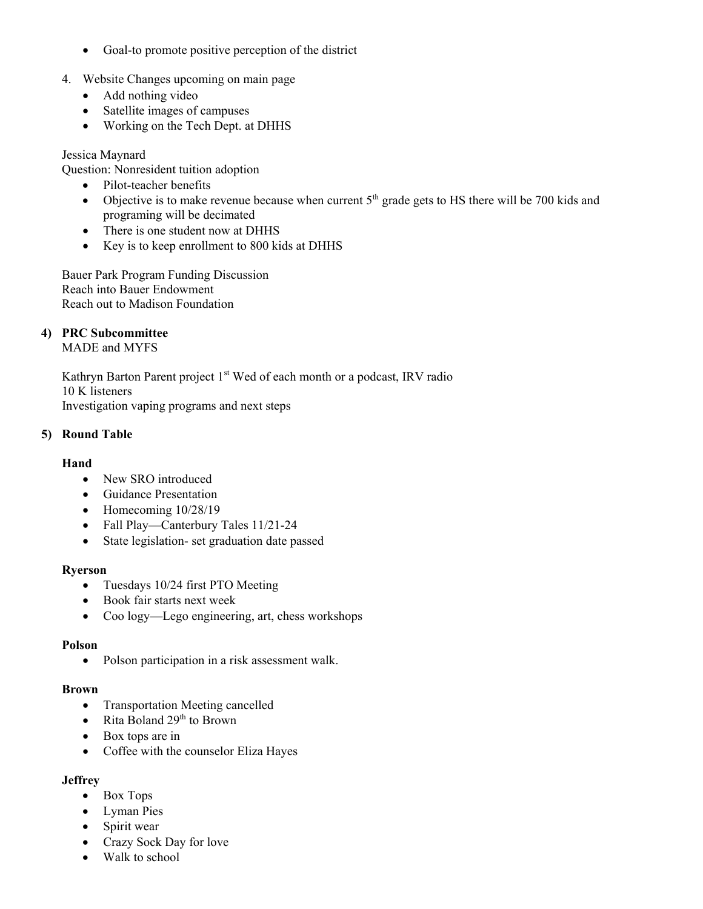- Goal-to promote positive perception of the district
- 4. Website Changes upcoming on main page
	- Add nothing video
	- Satellite images of campuses
	- Working on the Tech Dept. at DHHS

### Jessica Maynard

Question: Nonresident tuition adoption

- Pilot-teacher benefits
- Objective is to make revenue because when current  $5<sup>th</sup>$  grade gets to HS there will be 700 kids and programing will be decimated
- There is one student now at DHHS
- Key is to keep enrollment to 800 kids at DHHS

 Bauer Park Program Funding Discussion Reach into Bauer Endowment Reach out to Madison Foundation

### **4) PRC Subcommittee**

MADE and MYFS

Kathryn Barton Parent project 1<sup>st</sup> Wed of each month or a podcast, IRV radio 10 K listeners Investigation vaping programs and next steps

### **5) Round Table**

### **Hand**

- New SRO introduced
- Guidance Presentation
- Homecoming  $10/28/19$
- Fall Play—Canterbury Tales 11/21-24
- State legislation- set graduation date passed

#### **Ryerson**

- Tuesdays 10/24 first PTO Meeting
- Book fair starts next week
- Coo logy—Lego engineering, art, chess workshops

#### **Polson**

• Polson participation in a risk assessment walk.

#### **Brown**

- Transportation Meeting cancelled
- Rita Boland  $29<sup>th</sup>$  to Brown
- Box tops are in
- Coffee with the counselor Eliza Hayes

### **Jeffrey**

- Box Tops
- Lyman Pies
- Spirit wear
- Crazy Sock Day for love
- Walk to school